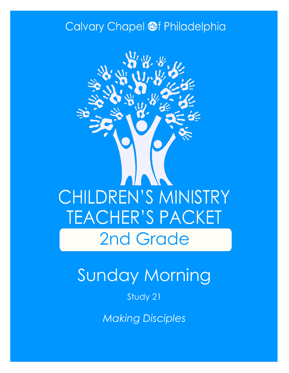## Calvary Chapel @f Philadelphia



# Sunday Morning

### Study 21

*Making Disciples*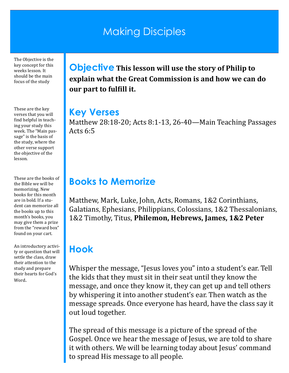## Making Disciples

The Objective is the key concept for this weeks lesson. It should be the main focus of the study

These are the key verses that you will find helpful in teaching your study this week. The "Main passage" is the basis of the study, where the other verse support the objective of the lesson.

These are the books of the Bible we will be memorizing. New books for this month are in bold. If a student can memorize all the books up to this month's books, you may give them a prize from the "reward box" found on your cart.

An introductory activity or question that will settle the class, draw their attention to the study and prepare their hearts for God's Word.

**Objective This lesson will use the story of Philip to explain what the Great Commission is and how we can do our part to fulfill it.**

#### **Key Verses**

Matthew 28:18-20; Acts 8:1-13, 26-40—Main Teaching Passages Acts 6:5

### **Books to Memorize**

Matthew, Mark, Luke, John, Acts, Romans, 1&2 Corinthians, Galatians, Ephesians, Philippians, Colossians, 1&2 Thessalonians, 1&2 Timothy, Titus, **Philemon, Hebrews, James, 1&2 Peter**

## **Hook**

Whisper the message, "Jesus loves you" into a student's ear. Tell the kids that they must sit in their seat until they know the message, and once they know it, they can get up and tell others by whispering it into another student's ear. Then watch as the message spreads. Once everyone has heard, have the class say it out loud together.

The spread of this message is a picture of the spread of the Gospel. Once we hear the message of Jesus, we are told to share it with others. We will be learning today about Jesus' command to spread His message to all people.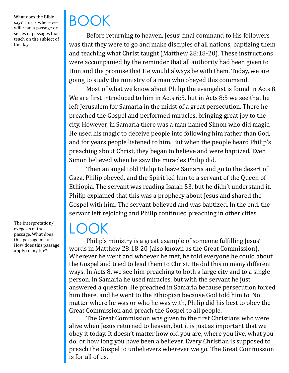What does the Bible say? This is where we will read a passage or series of passages that teach on the subject of the day.

BOOK

Before returning to heaven, Jesus' final command to His followers was that they were to go and make disciples of all nations, baptizing them and teaching what Christ taught (Matthew 28:18-20). These instructions were accompanied by the reminder that all authority had been given to Him and the promise that He would always be with them. Today, we are going to study the ministry of a man who obeyed this command.

Most of what we know about Philip the evangelist is found in Acts 8. We are first introduced to him in Acts 6:5, but in Acts 8:5 we see that he left Jerusalem for Samaria in the midst of a great persecution. There he preached the Gospel and performed miracles, bringing great joy to the city. However, in Samaria there was a man named Simon who did magic. He used his magic to deceive people into following him rather than God, and for years people listened to him. But when the people heard Philip's preaching about Christ, they began to believe and were baptized. Even Simon believed when he saw the miracles Philip did.

Then an angel told Philip to leave Samaria and go to the desert of Gaza. Philip obeyed, and the Spirit led him to a servant of the Queen of Ethiopia. The servant was reading Isaiah 53, but he didn't understand it. Philip explained that this was a prophecy about Jesus and shared the Gospel with him. The servant believed and was baptized. In the end, the servant left rejoicing and Philip continued preaching in other cities.

## LOOK

Philip's ministry is a great example of someone fulfilling Jesus' words in Matthew 28:18-20 (also known as the Great Commission). Wherever he went and whoever he met, he told everyone he could about the Gospel and tried to lead them to Christ. He did this in many different ways. In Acts 8, we see him preaching to both a large city and to a single person. In Samaria he used miracles, but with the servant he just answered a question. He preached in Samaria because persecution forced him there, and he went to the Ethiopian because God told him to. No matter where he was or who he was with, Philip did his best to obey the Great Commission and preach the Gospel to all people.

The Great Commission was given to the first Christians who were alive when Jesus returned to heaven, but it is just as important that we obey it today. It doesn't matter how old you are, where you live, what you do, or how long you have been a believer. Every Christian is supposed to preach the Gospel to unbelievers wherever we go. The Great Commission is for all of us.

The interpretation/ exegesis of the passage. What does this passage mean? How does this passage apply to my life?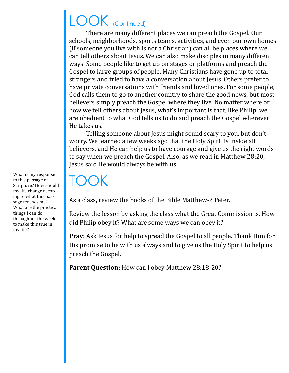## LOOK (Continued)

There are many different places we can preach the Gospel. Our schools, neighborhoods, sports teams, activities, and even our own homes (if someone you live with is not a Christian) can all be places where we can tell others about Jesus. We can also make disciples in many different ways. Some people like to get up on stages or platforms and preach the Gospel to large groups of people. Many Christians have gone up to total strangers and tried to have a conversation about Jesus. Others prefer to have private conversations with friends and loved ones. For some people, God calls them to go to another country to share the good news, but most believers simply preach the Gospel where they live. No matter where or how we tell others about Jesus, what's important is that, like Philip, we are obedient to what God tells us to do and preach the Gospel wherever He takes us.

Telling someone about Jesus might sound scary to you, but don't worry. We learned a few weeks ago that the Holy Spirit is inside all believers, and He can help us to have courage and give us the right words to say when we preach the Gospel. Also, as we read in Matthew 28:20, Jesus said He would always be with us.

## TOOK

As a class, review the books of the Bible Matthew-2 Peter.

Review the lesson by asking the class what the Great Commission is. How did Philip obey it? What are some ways we can obey it?

**Pray:** Ask Jesus for help to spread the Gospel to all people. Thank Him for His promise to be with us always and to give us the Holy Spirit to help us preach the Gospel.

Parent Question: How can I obey Matthew 28:18-20?

What is my response to this passage of Scripture? How should my life change according to what this passage teaches me? What are the practical things I can do throughout the week to make this true in my life?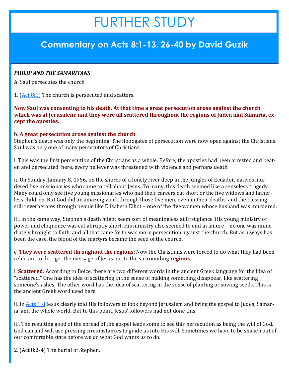## FURTHER STUDY

#### **Commentary on Acts 8:1-13, 26-40 by David Guzik**

#### *PHILIP AND THE SAMARITANS*

A. Saul persecutes the church.

1.  $(Act 8:1)$  The church is persecuted and scatters.

**Now Saul was consenting to his death. At that time a great persecution arose against the church which was at Jerusalem; and they were all scattered throughout the regions of Judea and Samaria, except the apostles.**

#### b. **A great persecution arose against the church**:

Stephen's death was only the beginning. The floodgates of persecution were now open against the Christians. Saul was only one of many persecutors of Christians.

i. This was the first persecution of the Christians as a whole. Before, the apostles had been arrested and beaten and persecuted; here, every believer was threatened with violence and perhaps death.

ii. On Sunday, January 8, 1956, on the shores of a lonely river deep in the jungles of Ecuador, natives murdered five missionaries who came to tell about Jesus. To many, this death seemed like a senseless tragedy. Many could only see five young missionaries who had their careers cut short or the five widows and fatherless children. But God did an amazing work through those five men, even in their deaths, and the blessing still reverberates through people like Elisabeth Elliot – one of the five women whose husband was murdered.

iii. In the same way, Stephen's death might seem sort of meaningless at first glance. His young ministry of power and eloquence was cut abruptly short. His ministry also seemed to end in failure – no one was immediately brought to faith, and all that came forth was more persecution against the church. But as always has been the case, the blood of the martyrs became the seed of the church.

c. **They were scattered throughout the regions**: Now the Christians were forced to do what they had been reluctant to do – get the message of Jesus out to the surrounding **regions**.

i. **Scattered**: According to Boice, there are two different words in the ancient Greek language for the idea of "scattered." One has the idea of scattering in the sense of making something disappear, like scattering someone's ashes. The other word has the idea of scattering in the sense of planting or sowing seeds. This is the ancient Greek word used here.

ii. In [Acts 1:8](https://www.blueletterbible.org/kjv/acts/1/8/s_1019008) Jesus clearly told His followers to look beyond Jerusalem and bring the gospel to Judea, Samaria, and the whole world. But to this point, Jesus' followers had not done this.

iii. The resulting good of the spread of the gospel leads some to see this persecution as being the will of God. God can and will use pressing circumstances to guide us into His will. Sometimes we have to be shaken out of our comfortable state before we do what God wants us to do.

2. [\(Act 8:2](https://www.blueletterbible.org/kjv/acts/8/2/s_1026002)-4) The burial of Stephen.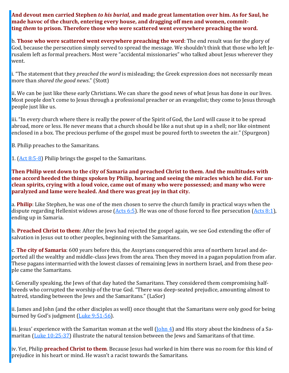**And devout men carried Stephen** *to his burial,* **and made great lamentation over him. As for Saul, he made havoc of the church, entering every house, and dragging off men and women, committing** *them* **to prison. Therefore those who were scattered went everywhere preaching the word.**

b. **Those who were scattered went everywhere preaching the word**: The end result was for the glory of God, because the persecution simply served to spread the message. We shouldn't think that those who left Jerusalem left as formal preachers. Most were "accidental missionaries" who talked about Jesus wherever they went.

i. "The statement that they *preached the word* is misleading; the Greek expression does not necessarily mean more than *shared the good news*." (Stott)

ii. We can be just like these early Christians. We can share the good news of what Jesus has done in our lives. Most people don't come to Jesus through a professional preacher or an evangelist; they come to Jesus through people just like us.

iii. "In every church where there is really the power of the Spirit of God, the Lord will cause it to be spread abroad, more or less. He never means that a church should be like a nut shut up in a shell; nor like ointment enclosed in a box. The precious perfume of the gospel must be poured forth to sweeten the air." (Spurgeon)

B. Philip preaches to the Samaritans.

1. ([Act 8:5](https://www.blueletterbible.org/kjv/acts/8/5-8/s_1026005)-8) Philip brings the gospel to the Samaritans.

**Then Philip went down to the city of Samaria and preached Christ to them. And the multitudes with one accord heeded the things spoken by Philip, hearing and seeing the miracles which he did. For unclean spirits, crying with a loud voice, came out of many who were possessed; and many who were paralyzed and lame were healed. And there was great joy in that city.**

a. **Philip**: Like Stephen, he was one of the men chosen to serve the church family in practical ways when the dispute regarding Hellenist widows arose (Acts  $6:5$ ). He was one of those forced to flee persecution (Acts  $8:1$ ), ending up in Samaria.

b. **Preached Christ to them**: After the Jews had rejected the gospel again, we see God extending the offer of salvation in Jesus out to other peoples, beginning with the Samaritans.

c. **The city of Samaria**: 600 years before this, the Assyrians conquered this area of northern Israel and deported all the wealthy and middle-class Jews from the area. Then they moved in a pagan population from afar. These pagans intermarried with the lowest classes of remaining Jews in northern Israel, and from these people came the Samaritans.

i. Generally speaking, the Jews of that day hated the Samaritans. They considered them compromising halfbreeds who corrupted the worship of the true God. "There was deep-seated prejudice, amounting almost to hatred, standing between the Jews and the Samaritans." (LaSor)

ii. James and John (and the other disciples as well) once thought that the Samaritans were only good for being burned by God's judgment ([Luke 9:51](https://www.blueletterbible.org/kjv/luke/9/51-56/s_982051)-56).

iii. Jesus' experience with the Samaritan woman at the well ([John 4\)](https://www.blueletterbible.org/kjv/john/4/1-54/s_1001001) and His story about the kindness of a Samaritan ([Luke 10:25](https://www.blueletterbible.org/kjv/luke/10/25-37/s_983025)-37) illustrate the natural tension between the Jews and Samaritans of that time.

iv. Yet, Philip **preached Christ to them**. Because Jesus had worked in him there was no room for this kind of prejudice in his heart or mind. He wasn't a racist towards the Samaritans.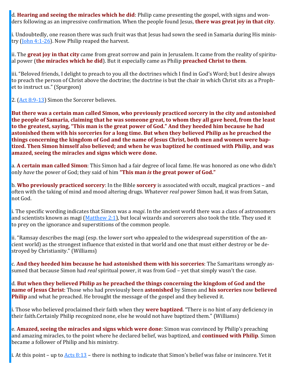d. **Hearing and seeing the miracles which he did**: Philip came presenting the gospel, with signs and wonders following as an impressive confirmation. When the people found Jesus, **there was great joy in that city**.

i. Undoubtedly, one reason there was such fruit was that Jesus had sown the seed in Samaria during His ministry (John  $4:1-26$ ). Now Philip reaped the harvest.

ii. The **great joy in that city** came from great sorrow and pain in Jerusalem. It came from the reality of spiritual power (**the miracles which he did**). But it especially came as Philip **preached Christ to them**.

iii. "Beloved friends, I delight to preach to you all the doctrines which I find in God's Word; but I desire always to preach the person of Christ above the doctrine; the doctrine is but the chair in which Christ sits as a Prophet to instruct us." (Spurgeon)

2. ([Act 8:9](https://www.blueletterbible.org/kjv/acts/8/9-13/s_1026009)-13) Simon the Sorcerer believes.

**But there was a certain man called Simon, who previously practiced sorcery in the city and astonished the people of Samaria, claiming that he was someone great, to whom they all gave heed, from the least to the greatest, saying, "This man is the great power of God." And they heeded him because he had astonished them with his sorceries for a long time. But when they believed Philip as he preached the things concerning the kingdom of God and the name of Jesus Christ, both men and women were baptized. Then Simon himself also believed; and when he was baptized he continued with Philip, and was amazed, seeing the miracles and signs which were done.**

a. **A certain man called Simon**: This Simon had a fair degree of local fame. He was honored as one who didn't only *have* the power of God; they said of him **"This man** *is* **the great power of God."**

b. **Who previously practiced sorcery**: In the Bible **sorcery** is associated with occult, magical practices – and often with the taking of mind and mood altering drugs. Whatever *real* power Simon had, it was from Satan, not God.

i. The specific wording indicates that Simon was a *magi*. In the ancient world there was a class of astronomers and scientists known as magi ([Matthew 2:1\)](https://www.blueletterbible.org/kjv/matthew/2/1/s_931001), but local wizards and sorcerers also took the title. They used it to prey on the ignorance and superstitions of the common people.

ii. "Ramsay describes the magi (esp. the lower sort who appealed to the widespread superstition of the ancient world) as the strongest influence that existed in that world and one that must either destroy or be destroyed by Christianity." (Williams)

c. **And they heeded him because he had astonished them with his sorceries**: The Samaritans wrongly assumed that because Simon had *real* spiritual power, it was from God – yet that simply wasn't the case.

d. **But when they believed Philip as he preached the things concerning the kingdom of God and the name of Jesus Christ**: Those who had previously been **astonished** by Simon and **his sorceries** now **believed Philip** and what he preached. He brought the message of the gospel and they believed it.

i. Those who believed proclaimed their faith when they **were baptized**. "There is no hint of any deficiency in their faith.Certainly Philip recognized none, else he would not have baptized them." (Williams)

e. **Amazed, seeing the miracles and signs which were done**: Simon was convinced by Philip's preaching and amazing miracles, to the point where he declared belief, was baptized, and **continued with Philip**. Simon became a follower of Philip and his ministry.

i. At this point – up to  $\frac{\text{Acts } 8:13}{\text{etcs } 6:13}$  – there is nothing to indicate that Simon's belief was false or insincere. Yet it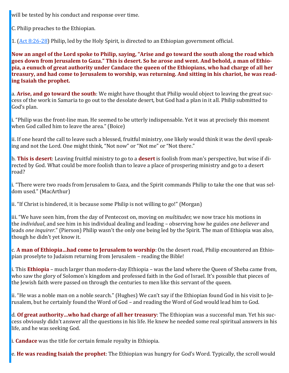will be tested by his conduct and response over time.

C. Philip preaches to the Ethiopian.

1. ([Act 8:26](https://www.blueletterbible.org/kjv/acts/8/26-28/s_1026026)-28) Philip, led by the Holy Spirit, is directed to an Ethiopian government official.

**Now an angel of the Lord spoke to Philip, saying, "Arise and go toward the south along the road which goes down from Jerusalem to Gaza." This is desert. So he arose and went. And behold, a man of Ethiopia, a eunuch of great authority under Candace the queen of the Ethiopians, who had charge of all her treasury, and had come to Jerusalem to worship, was returning. And sitting in his chariot, he was reading Isaiah the prophet.**

a. **Arise, and go toward the south**: We might have thought that Philip would object to leaving the great success of the work in Samaria to go out to the desolate desert, but God had a plan in it all. Philip submitted to God's plan.

i. "Philip was the front-line man. He seemed to be utterly indispensable. Yet it was at precisely this moment when God called him to leave the area." (Boice)

ii. If one heard the call to leave such a blessed, fruitful ministry, one likely would think it was the devil speaking and not the Lord. One might think, "Not now" or "Not me" or "Not there."

b. **This is desert**: Leaving fruitful ministry to go to a **desert** is foolish from man's perspective, but wise if directed by God. What could be more foolish than to leave a place of prospering ministry and go to a desert road?

i. "There were two roads from Jerusalem to Gaza, and the Spirit commands Philip to take the one that was seldom used." (MacArthur)

ii. "If Christ is hindered, it is because some Philip is not willing to go!" (Morgan)

iii. "We have seen him, from the day of Pentecost on, moving on *multitudes*; we now trace his motions in the *individual*, and see him in his individual dealing and leading – observing how he guides *one believer* and leads *one inquirer*." (Pierson) Philip wasn't the only one being led by the Spirit. The man of Ethiopia was also, though he didn't yet know it.

c. **A man of Ethiopia…had come to Jerusalem to worship**: On the desert road, Philip encountered an Ethiopian proselyte to Judaism returning from Jerusalem – reading the Bible!

i. This **Ethiopia** – much larger than modern-day Ethiopia – was the land where the Queen of Sheba came from, who saw the glory of Solomon's kingdom and professed faith in the God of Israel. It's possible that pieces of the Jewish faith were passed on through the centuries to men like this servant of the queen.

ii. "He was a noble man on a noble search." (Hughes) We can't say if the Ethiopian found God in his visit to Jerusalem, but he certainly found the Word of God – and reading the Word of God would lead him to God.

d. **Of great authority…who had charge of all her treasury**: The Ethiopian was a successful man. Yet his success obviously didn't answer all the questions in his life. He knew he needed some real spiritual answers in his life, and he was seeking God.

i. **Candace** was the title for certain female royalty in Ethiopia.

e. **He was reading Isaiah the prophet**: The Ethiopian was hungry for God's Word. Typically, the scroll would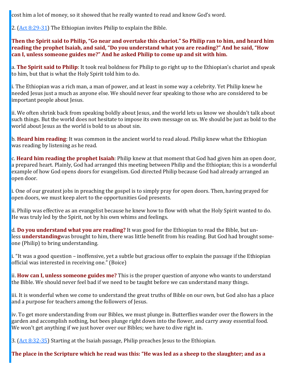cost him a lot of money, so it showed that he really wanted to read and know God's word.

2. ([Act 8:29](https://www.blueletterbible.org/kjv/acts/8/29-31/s_1026029)-31) The Ethiopian invites Philip to explain the Bible.

**Then the Spirit said to Philip, "Go near and overtake this chariot." So Philip ran to him, and heard him reading the prophet Isaiah, and said, "Do you understand what you are reading?" And he said, "How can I, unless someone guides me?" And he asked Philip to come up and sit with him.**

a. **The Spirit said to Philip**: It took real boldness for Philip to go right up to the Ethiopian's chariot and speak to him, but that is what the Holy Spirit told him to do.

i. The Ethiopian was a rich man, a man of power, and at least in some way a celebrity. Yet Philip knew he needed Jesus just a much as anyone else. We should never fear speaking to those who are considered to be important people about Jesus.

ii. We often shrink back from speaking boldly about Jesus, and the world lets us know we shouldn't talk about such things. But the world does not hesitate to impose its own message on us. We should be just as bold to the world about Jesus as the world is bold to us about sin.

b. **Heard him reading**: It was common in the ancient world to read aloud. Philip knew what the Ethiopian was reading by listening as he read.

c. **Heard him reading the prophet Isaiah**: Philip knew at that moment that God had given him an open door, a prepared heart. Plainly, God had arranged this meeting between Philip and the Ethiopian; this is a wonderful example of how God opens doors for evangelism. God directed Philip because God had already arranged an open door.

i. One of our greatest jobs in preaching the gospel is to simply pray for open doors. Then, having prayed for open doors, we must keep alert to the opportunities God presents.

ii. Philip was effective as an evangelist because he knew how to flow with what the Holy Spirit wanted to do. He was truly led by the Spirit, not by his own whims and feelings.

d. **Do you understand what you are reading?** It was good for the Ethiopian to read the Bible, but unless **understanding**was brought to him, there was little benefit from his reading. But God had brought someone (Philip) to bring understanding.

i. "It was a good question – inoffensive, yet a subtle but gracious offer to explain the passage if the Ethiopian official was interested in receiving one." (Boice)

ii. **How can I, unless someone guides me?** This is the proper question of anyone who wants to understand the Bible. We should never feel bad if we need to be taught before we can understand many things.

iii. It is wonderful when we come to understand the great truths of Bible on our own, but God also has a place and a purpose for teachers among the followers of Jesus.

iv. To get more understanding from our Bibles, we must plunge in. Butterflies wander over the flowers in the garden and accomplish nothing, but bees plunge right down into the flower, and carry away essential food. We won't get anything if we just hover over our Bibles; we have to dive right in.

3. ([Act 8:32](https://www.blueletterbible.org/kjv/acts/8/32-35/s_1026032)-35) Starting at the Isaiah passage, Philip preaches Jesus to the Ethiopian.

**The place in the Scripture which he read was this: "He was led as a sheep to the slaughter; and as a**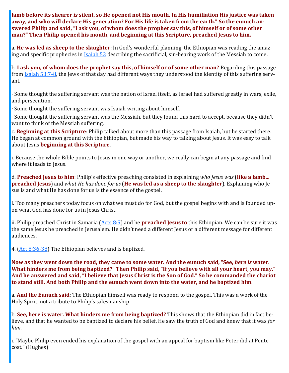**lamb before its shearer** *is* **silent, so He opened not His mouth. In His humiliation His justice was taken away, and who will declare His generation? For His life is taken from the earth." So the eunuch answered Philip and said, "I ask you, of whom does the prophet say this, of himself or of some other man?" Then Philip opened his mouth, and beginning at this Scripture, preached Jesus to him.**

a. **He was led as sheep to the slaughter**: In God's wonderful planning, the Ethiopian was reading the amazing and specific prophecies in **[Isaiah 53](https://www.blueletterbible.org/kjv/isaiah/53/1-12/s_732001)** describing the sacrificial, sin-bearing work of the Messiah to come.

b. **I ask you, of whom does the prophet say this, of himself or of some other man?** Regarding this passage from [Isaiah 53:7](https://www.blueletterbible.org/kjv/isaiah/53/7-8/s_732007)-8, the Jews of that day had different ways they understood the identity of this suffering servant.

· Some thought the suffering servant was the nation of Israel itself, as Israel had suffered greatly in wars, exile, and persecution.

· Some thought the suffering servant was Isaiah writing about himself.

· Some thought the suffering servant was the Messiah, but they found this hard to accept, because they didn't want to think of the Messiah suffering.

c. **Beginning at this Scripture**: Philip talked about more than this passage from Isaiah, but he started there. He began at common ground with the Ethiopian, but made his way to talking about Jesus. It was easy to talk about Jesus **beginning at this Scripture**.

i. Because the whole Bible points to Jesus in one way or another, we really can begin at any passage and find where it leads to Jesus.

d. **Preached Jesus to him**: Philip's effective preaching consisted in explaining *who Jesus was* (**like a lamb... preached Jesus**) and *what He has done for us* (**He was led as a sheep to the slaughter**). Explaining who Jesus is and what He has done for us is the essence of the gospel.

i. Too many preachers today focus on what we must do for God, but the gospel begins with and is founded upon what God has done for us in Jesus Christ.

ii. Philip preached Christ in Samaria ([Acts 8:5\)](https://www.blueletterbible.org/kjv/acts/8/5/s_1026005) and he **preached Jesus to** this Ethiopian. We can be sure it was the same Jesus he preached in Jerusalem. He didn't need a different Jesus or a different message for different audiences.

4. ([Act 8:36](https://www.blueletterbible.org/kjv/acts/8/36-38/s_1026036)-38) The Ethiopian believes and is baptized.

**Now as they went down the road, they came to some water. And the eunuch said, "See,** *here is* **water. What hinders me from being baptized?" Then Philip said, "If you believe with all your heart, you may." And he answered and said, "I believe that Jesus Christ is the Son of God." So he commanded the chariot to stand still. And both Philip and the eunuch went down into the water, and he baptized him.**

a. **And the Eunuch said**: The Ethiopian himself was ready to respond to the gospel. This was a work of the Holy Spirit, not a tribute to Philip's salesmanship.

b. **See, here is water. What hinders me from being baptized?** This shows that the Ethiopian did in fact believe, and that he wanted to be baptized to declare his belief. He saw the truth of God and knew that it was *for him*.

i. "Maybe Philip even ended his explanation of the gospel with an appeal for baptism like Peter did at Pentecost." (Hughes)